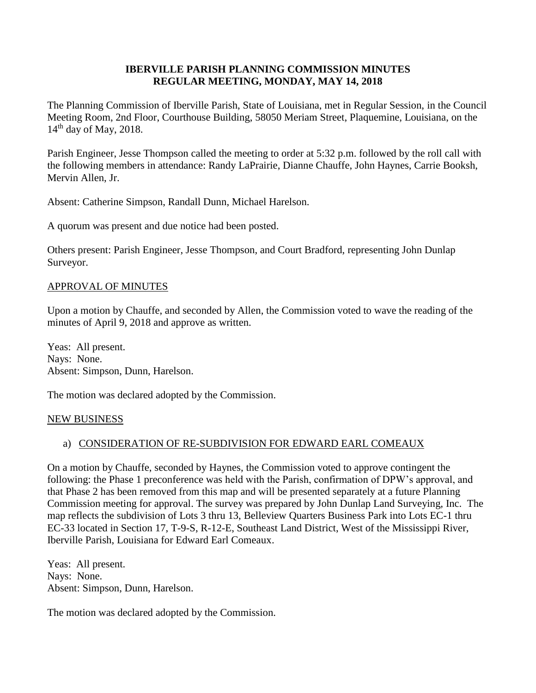#### **IBERVILLE PARISH PLANNING COMMISSION MINUTES REGULAR MEETING, MONDAY, MAY 14, 2018**

The Planning Commission of Iberville Parish, State of Louisiana, met in Regular Session, in the Council Meeting Room, 2nd Floor, Courthouse Building, 58050 Meriam Street, Plaquemine, Louisiana, on the  $14<sup>th</sup>$  day of May, 2018.

Parish Engineer, Jesse Thompson called the meeting to order at 5:32 p.m. followed by the roll call with the following members in attendance: Randy LaPrairie, Dianne Chauffe, John Haynes, Carrie Booksh, Mervin Allen, Jr.

Absent: Catherine Simpson, Randall Dunn, Michael Harelson.

A quorum was present and due notice had been posted.

Others present: Parish Engineer, Jesse Thompson, and Court Bradford, representing John Dunlap Surveyor.

#### APPROVAL OF MINUTES

Upon a motion by Chauffe, and seconded by Allen, the Commission voted to wave the reading of the minutes of April 9, 2018 and approve as written.

Yeas: All present. Nays: None. Absent: Simpson, Dunn, Harelson.

The motion was declared adopted by the Commission.

#### NEW BUSINESS

#### a) CONSIDERATION OF RE-SUBDIVISION FOR EDWARD EARL COMEAUX

On a motion by Chauffe, seconded by Haynes, the Commission voted to approve contingent the following: the Phase 1 preconference was held with the Parish, confirmation of DPW's approval, and that Phase 2 has been removed from this map and will be presented separately at a future Planning Commission meeting for approval. The survey was prepared by John Dunlap Land Surveying, Inc. The map reflects the subdivision of Lots 3 thru 13, Belleview Quarters Business Park into Lots EC-1 thru EC-33 located in Section 17, T-9-S, R-12-E, Southeast Land District, West of the Mississippi River, Iberville Parish, Louisiana for Edward Earl Comeaux.

Yeas: All present. Nays: None. Absent: Simpson, Dunn, Harelson.

The motion was declared adopted by the Commission.